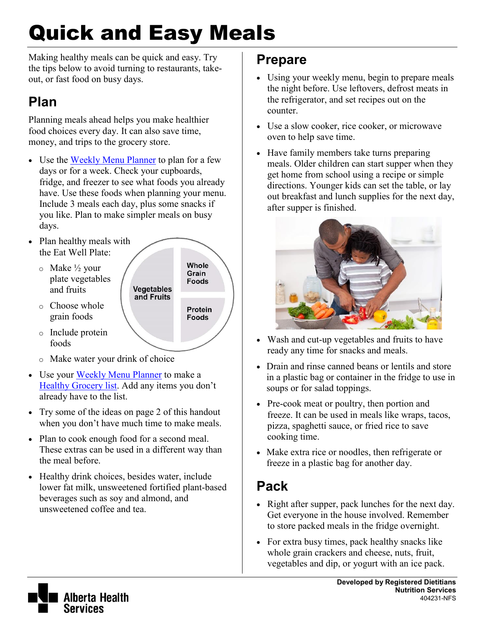# Quick and Easy Meals

Making healthy meals can be quick and easy. Try the tips below to avoid turning to restaurants, takeout, or fast food on busy days.

## **Plan**

Planning meals ahead helps you make healthier food choices every day. It can also save time, money, and trips to the grocery store.

- Use the [Weekly Menu Planner](https://www.albertahealthservices.ca/assets/info/nutrition/if-nfs-weekly-menu-planner.pdf) to plan for a few days or for a week. Check your cupboards, fridge, and freezer to see what foods you already have. Use these foods when planning your menu. Include 3 meals each day, plus some snacks if you like. Plan to make simpler meals on busy days.
- Plan healthy meals with the Eat Well Plate:
	- o Make ½ your plate vegetables and fruits

o Choose whole grain foods

Whole Grain Foods **Vegetables** and Fruits Protein **Foods** 

- o Include protein foods
- o Make water your drink of choice
- Use your [Weekly Menu Planner](https://www.albertahealthservices.ca/assets/info/nutrition/if-nfs-weekly-menu-planner.pdf) to make a [Healthy Grocery list.](https://www.albertahealthservices.ca/assets/info/nutrition/if-nfs-healthy-grocery-list.pdf) Add any items you don't already have to the list.
- Try some of the ideas on page 2 of this handout when you don't have much time to make meals.
- Plan to cook enough food for a second meal. These extras can be used in a different way than the meal before.
- Healthy drink choices, besides water, include lower fat milk, unsweetened fortified plant-based beverages such as soy and almond, and unsweetened coffee and tea.

#### **Prepare**

- Using your weekly menu, begin to prepare meals the night before. Use leftovers, defrost meats in the refrigerator, and set recipes out on the counter.
- Use a slow cooker, rice cooker, or microwave oven to help save time.
- Have family members take turns preparing meals. Older children can start supper when they get home from school using a recipe or simple directions. Younger kids can set the table, or lay out breakfast and lunch supplies for the next day, after supper is finished.



- Wash and cut-up vegetables and fruits to have ready any time for snacks and meals.
- Drain and rinse canned beans or lentils and store in a plastic bag or container in the fridge to use in soups or for salad toppings.
- Pre-cook meat or poultry, then portion and freeze. It can be used in meals like wraps, tacos, pizza, spaghetti sauce, or fried rice to save cooking time.
- Make extra rice or noodles, then refrigerate or freeze in a plastic bag for another day.

### **Pack**

- Right after supper, pack lunches for the next day. Get everyone in the house involved. Remember to store packed meals in the fridge overnight.
- For extra busy times, pack healthy snacks like whole grain crackers and cheese, nuts, fruit, vegetables and dip, or yogurt with an ice pack.